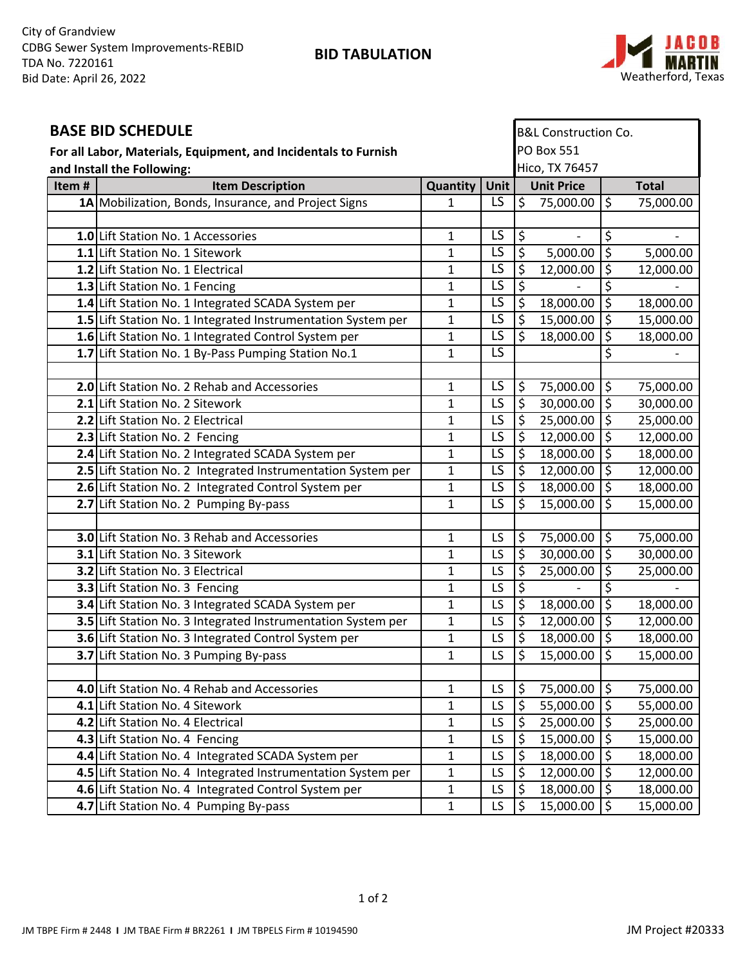**BID TABULATION**



| <b>BASE BID SCHEDULE</b>                                        |                                                              |              |                 | <b>B&amp;L Construction Co.</b> |                   |                          |              |  |
|-----------------------------------------------------------------|--------------------------------------------------------------|--------------|-----------------|---------------------------------|-------------------|--------------------------|--------------|--|
| For all Labor, Materials, Equipment, and Incidentals to Furnish |                                                              |              |                 | <b>PO Box 551</b>               |                   |                          |              |  |
| and Install the Following:                                      |                                                              |              |                 | Hico, TX 76457                  |                   |                          |              |  |
| Item#                                                           | <b>Item Description</b>                                      | Quantity     | Unit            |                                 | <b>Unit Price</b> |                          | <b>Total</b> |  |
|                                                                 | 1A Mobilization, Bonds, Insurance, and Project Signs         | $\mathbf{1}$ | LS              | $\overline{\mathfrak{S}}$       | 75,000.00         | \$                       | 75,000.00    |  |
|                                                                 |                                                              |              |                 |                                 |                   |                          |              |  |
|                                                                 | 1.0 Lift Station No. 1 Accessories                           | 1            | LS              | $\frac{1}{2}$                   |                   | $\overline{\varsigma}$   |              |  |
|                                                                 | 1.1 Lift Station No. 1 Sitework                              | 1            | $\overline{LS}$ | $\overline{\xi}$                | 5,000.00          | $\overline{\varsigma}$   | 5,000.00     |  |
|                                                                 | 1.2 Lift Station No. 1 Electrical                            | 1            | $\overline{LS}$ | ड़                              | 12,000.00         | $\overline{\xi}$         | 12,000.00    |  |
|                                                                 | 1.3 Lift Station No. 1 Fencing                               | 1            | LS              | ड़                              |                   | \$                       |              |  |
|                                                                 | 1.4 Lift Station No. 1 Integrated SCADA System per           | 1            | $\overline{LS}$ | ड़                              | 18,000.00         | $\overline{\xi}$         | 18,000.00    |  |
|                                                                 | 1.5 Lift Station No. 1 Integrated Instrumentation System per | $\mathbf 1$  | $\overline{LS}$ | $\overline{\mathcal{S}}$        | 15,000.00         | $\overline{\xi}$         | 15,000.00    |  |
|                                                                 | 1.6 Lift Station No. 1 Integrated Control System per         | $\mathbf{1}$ | LS              | डि                              | 18,000.00         | ड़                       | 18,000.00    |  |
|                                                                 | 1.7 Lift Station No. 1 By-Pass Pumping Station No.1          | 1            | $\overline{LS}$ |                                 |                   | \$                       |              |  |
|                                                                 |                                                              |              |                 |                                 |                   |                          |              |  |
|                                                                 | 2.0 Lift Station No. 2 Rehab and Accessories                 | 1            | LS              | $\frac{1}{2}$                   | 75,000.00         | \$                       | 75,000.00    |  |
|                                                                 | 2.1 Lift Station No. 2 Sitework                              | 1            | $\overline{LS}$ | 5                               | 30,000.00         | $\overline{\xi}$         | 30,000.00    |  |
|                                                                 | 2.2 Lift Station No. 2 Electrical                            | 1            | LS              | $\varsigma$                     | 25,000.00         | $\overline{\mathcal{S}}$ | 25,000.00    |  |
|                                                                 | 2.3 Lift Station No. 2 Fencing                               | $\mathbf 1$  | $\overline{LS}$ | $\overline{\varsigma}$          | 12,000.00         | ड़                       | 12,000.00    |  |
|                                                                 | 2.4 Lift Station No. 2 Integrated SCADA System per           | 1            | $\overline{LS}$ | ع                               | 18,000.00         | $\overline{\xi}$         | 18,000.00    |  |
|                                                                 | 2.5 Lift Station No. 2 Integrated Instrumentation System per | $\mathbf{1}$ | LS              | $\overline{\mathsf{S}}$         | 12,000.00         | $\overline{\xi}$         | 12,000.00    |  |
|                                                                 | 2.6 Lift Station No. 2 Integrated Control System per         | 1            | $\overline{LS}$ | $\overline{\varsigma}$          | 18,000.00         | ड़                       | 18,000.00    |  |
|                                                                 | 2.7 Lift Station No. 2 Pumping By-pass                       | $\mathbf{1}$ | $\overline{LS}$ | $\overline{\varsigma}$          | 15,000.00         | $\overline{\xi}$         | 15,000.00    |  |
|                                                                 |                                                              |              |                 |                                 |                   |                          |              |  |
|                                                                 | 3.0 Lift Station No. 3 Rehab and Accessories                 | 1            | LS              | \$                              | 75,000.00         | \$                       | 75,000.00    |  |
|                                                                 | 3.1 Lift Station No. 3 Sitework                              | 1            | LS              | $\overline{\varsigma}$          | 30,000.00         | $\overline{\xi}$         | 30,000.00    |  |
|                                                                 | <b>3.2 Lift Station No. 3 Electrical</b>                     | 1            | LS              | \$                              | 25,000.00         | $\overline{\xi}$         | 25,000.00    |  |
|                                                                 | 3.3 Lift Station No. 3 Fencing                               | 1            | LS              | ड़                              |                   | \$                       |              |  |
|                                                                 | 3.4 Lift Station No. 3 Integrated SCADA System per           | 1            | LS              | \$                              | 18,000.00         | ड़                       | 18,000.00    |  |
|                                                                 | 3.5 Lift Station No. 3 Integrated Instrumentation System per | 1            | LS              | $\overline{\varsigma}$          | 12,000.00         | $\overline{\xi}$         | 12,000.00    |  |
|                                                                 | 3.6 Lift Station No. 3 Integrated Control System per         | 1            | LS              | \$                              | 18,000.00         | $\overline{\xi}$         | 18,000.00    |  |
|                                                                 | 3.7 Lift Station No. 3 Pumping By-pass                       | 1            | LS              | $\overline{\varsigma}$          | 15,000.00         | $\overline{\varsigma}$   | 15,000.00    |  |
|                                                                 |                                                              |              |                 |                                 |                   |                          |              |  |
|                                                                 | 4.0 Lift Station No. 4 Rehab and Accessories                 | 1            | LS              | \$                              | 75,000.00         | $\varsigma$              | 75,000.00    |  |
|                                                                 | 4.1 Lift Station No. 4 Sitework                              | 1            | LS              | \$                              | 55,000.00         | $\overline{\xi}$         | 55,000.00    |  |
|                                                                 | 4.2 Lift Station No. 4 Electrical                            | $\mathbf 1$  | LS              | \$                              | 25,000.00         | $\overline{\mathcal{S}}$ | 25,000.00    |  |
|                                                                 | 4.3 Lift Station No. 4 Fencing                               | 1            | LS              | \$                              | 15,000.00         | $\overline{\xi}$         | 15,000.00    |  |
|                                                                 | 4.4 Lift Station No. 4 Integrated SCADA System per           | 1            | LS              | $\zeta$                         | 18,000.00         | $\overline{\varsigma}$   | 18,000.00    |  |
|                                                                 | 4.5 Lift Station No. 4 Integrated Instrumentation System per | $\mathbf 1$  | LS              | \$                              | 12,000.00         | $\overline{\mathcal{S}}$ | 12,000.00    |  |
|                                                                 | 4.6 Lift Station No. 4 Integrated Control System per         | 1            | LS              | $\frac{1}{2}$                   | 18,000.00         | $\overline{\xi}$         | 18,000.00    |  |
|                                                                 | 4.7 Lift Station No. 4 Pumping By-pass                       | $\mathbf{1}$ | LS              | 5                               | 15,000.00         | \$                       | 15,000.00    |  |